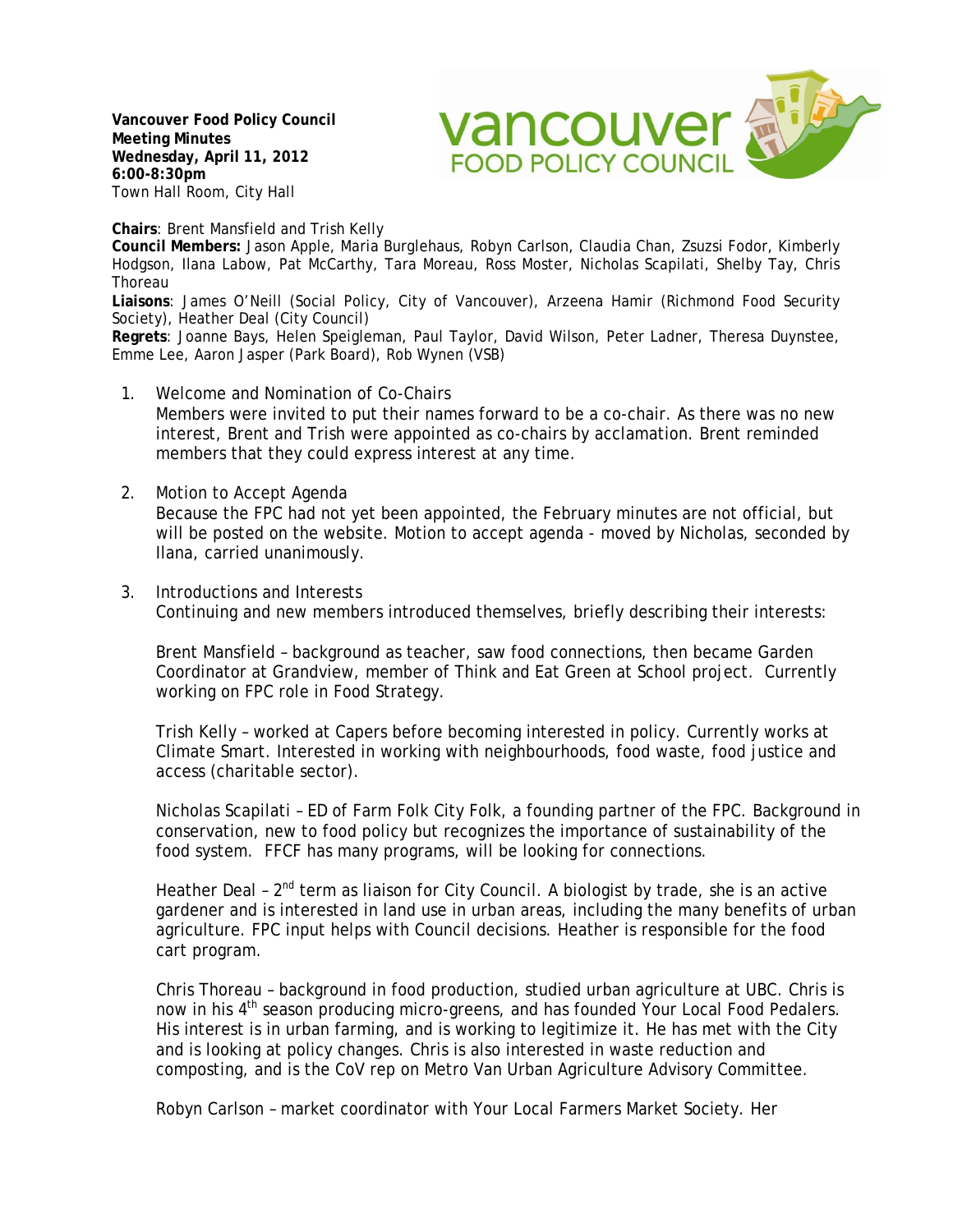**Vancouver Food Policy Council Meeting Minutes Wednesday, April 11, 2012 6:00-8:30pm** Town Hall Room, City Hall

**vancouver FOOD POLICY COUNCIL** 

**Chairs**: Brent Mansfield and Trish Kelly

**Council Members:** Jason Apple, Maria Burglehaus, Robyn Carlson, Claudia Chan, Zsuzsi Fodor, Kimberly Hodgson, Ilana Labow, Pat McCarthy, Tara Moreau, Ross Moster, Nicholas Scapilati, Shelby Tay, Chris Thoreau

**Liaisons**: James O'Neill (Social Policy, City of Vancouver), Arzeena Hamir (Richmond Food Security Society), Heather Deal (City Council)

**Regrets**: Joanne Bays, Helen Speigleman, Paul Taylor, David Wilson, Peter Ladner, Theresa Duynstee, Emme Lee, Aaron Jasper (Park Board), Rob Wynen (VSB)

- 1. Welcome and Nomination of Co-Chairs Members were invited to put their names forward to be a co-chair. As there was no new interest, Brent and Trish were appointed as co-chairs by acclamation. Brent reminded members that they could express interest at any time.
- 2. Motion to Accept Agenda Because the FPC had not yet been appointed, the February minutes are not official, but will be posted on the website. Motion to accept agenda - moved by Nicholas, seconded by Ilana, carried unanimously.
- 3. Introductions and Interests Continuing and new members introduced themselves, briefly describing their interests:

Brent Mansfield – background as teacher, saw food connections, then became Garden Coordinator at Grandview, member of Think and Eat Green at School project. Currently working on FPC role in Food Strategy.

Trish Kelly – worked at Capers before becoming interested in policy. Currently works at Climate Smart. Interested in working with neighbourhoods, food waste, food justice and access (charitable sector).

Nicholas Scapilati – ED of Farm Folk City Folk, a founding partner of the FPC. Background in conservation, new to food policy but recognizes the importance of sustainability of the food system. FFCF has many programs, will be looking for connections.

Heather Deal - 2<sup>nd</sup> term as liaison for City Council. A biologist by trade, she is an active gardener and is interested in land use in urban areas, including the many benefits of urban agriculture. FPC input helps with Council decisions. Heather is responsible for the food cart program.

Chris Thoreau – background in food production, studied urban agriculture at UBC. Chris is now in his 4<sup>th</sup> season producing micro-greens, and has founded Your Local Food Pedalers. His interest is in urban farming, and is working to legitimize it. He has met with the City and is looking at policy changes. Chris is also interested in waste reduction and composting, and is the CoV rep on Metro Van Urban Agriculture Advisory Committee.

Robyn Carlson – market coordinator with Your Local Farmers Market Society. Her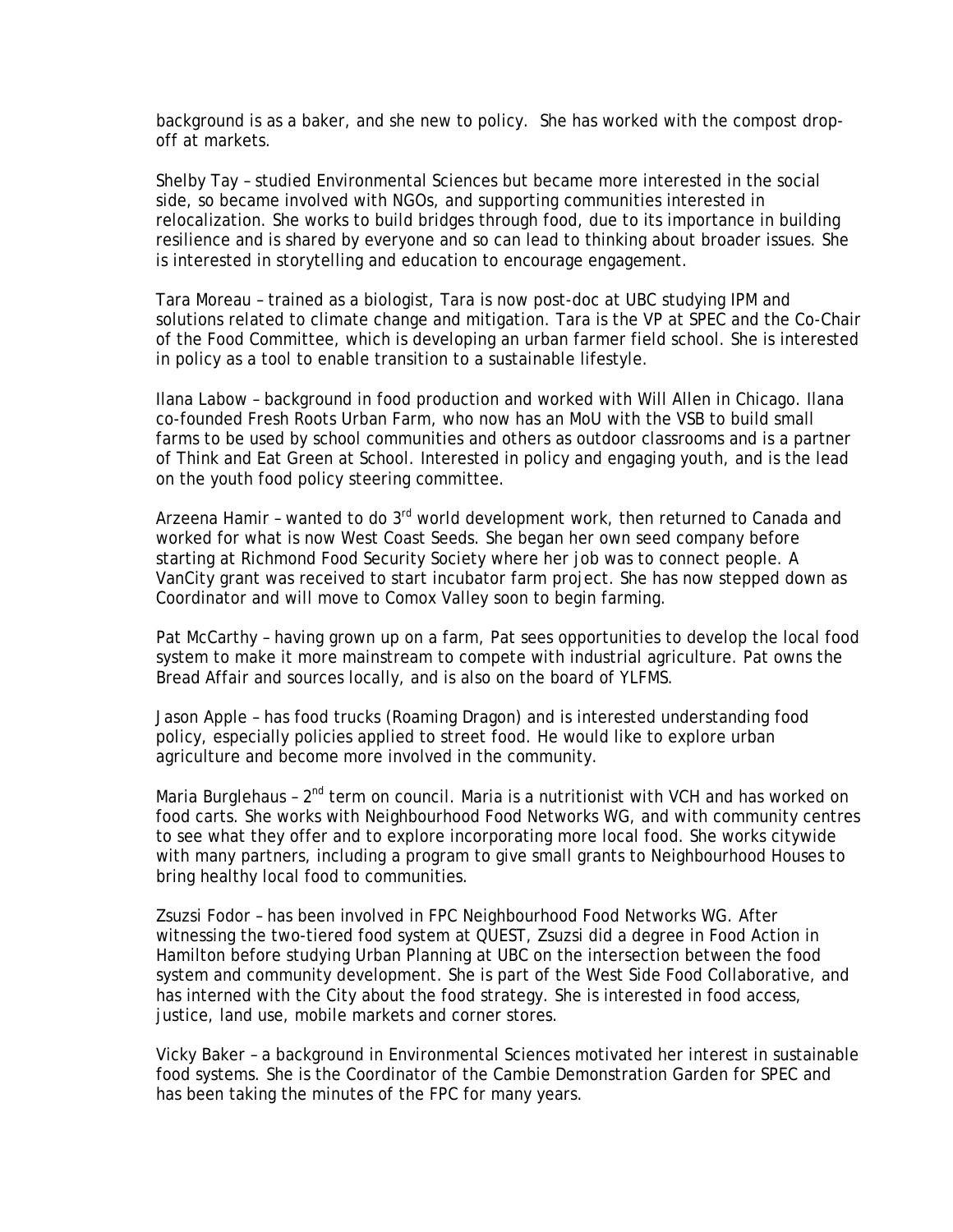background is as a baker, and she new to policy. She has worked with the compost dropoff at markets.

Shelby Tay – studied Environmental Sciences but became more interested in the social side, so became involved with NGOs, and supporting communities interested in relocalization. She works to build bridges through food, due to its importance in building resilience and is shared by everyone and so can lead to thinking about broader issues. She is interested in storytelling and education to encourage engagement.

Tara Moreau – trained as a biologist, Tara is now post-doc at UBC studying IPM and solutions related to climate change and mitigation. Tara is the VP at SPEC and the Co-Chair of the Food Committee, which is developing an urban farmer field school. She is interested in policy as a tool to enable transition to a sustainable lifestyle.

Ilana Labow – background in food production and worked with Will Allen in Chicago. Ilana co-founded Fresh Roots Urban Farm, who now has an MoU with the VSB to build small farms to be used by school communities and others as outdoor classrooms and is a partner of Think and Eat Green at School. Interested in policy and engaging youth, and is the lead on the youth food policy steering committee.

Arzeena Hamir - wanted to do  $3<sup>rd</sup>$  world development work, then returned to Canada and worked for what is now West Coast Seeds. She began her own seed company before starting at Richmond Food Security Society where her job was to connect people. A VanCity grant was received to start incubator farm project. She has now stepped down as Coordinator and will move to Comox Valley soon to begin farming.

Pat McCarthy – having grown up on a farm, Pat sees opportunities to develop the local food system to make it more mainstream to compete with industrial agriculture. Pat owns the Bread Affair and sources locally, and is also on the board of YLFMS.

Jason Apple – has food trucks (Roaming Dragon) and is interested understanding food policy, especially policies applied to street food. He would like to explore urban agriculture and become more involved in the community.

Maria Burglehaus -  $2<sup>nd</sup>$  term on council. Maria is a nutritionist with VCH and has worked on food carts. She works with Neighbourhood Food Networks WG, and with community centres to see what they offer and to explore incorporating more local food. She works citywide with many partners, including a program to give small grants to Neighbourhood Houses to bring healthy local food to communities.

Zsuzsi Fodor – has been involved in FPC Neighbourhood Food Networks WG. After witnessing the two-tiered food system at QUEST, Zsuzsi did a degree in Food Action in Hamilton before studying Urban Planning at UBC on the intersection between the food system and community development. She is part of the West Side Food Collaborative, and has interned with the City about the food strategy. She is interested in food access, justice, land use, mobile markets and corner stores.

Vicky Baker – a background in Environmental Sciences motivated her interest in sustainable food systems. She is the Coordinator of the Cambie Demonstration Garden for SPEC and has been taking the minutes of the FPC for many years.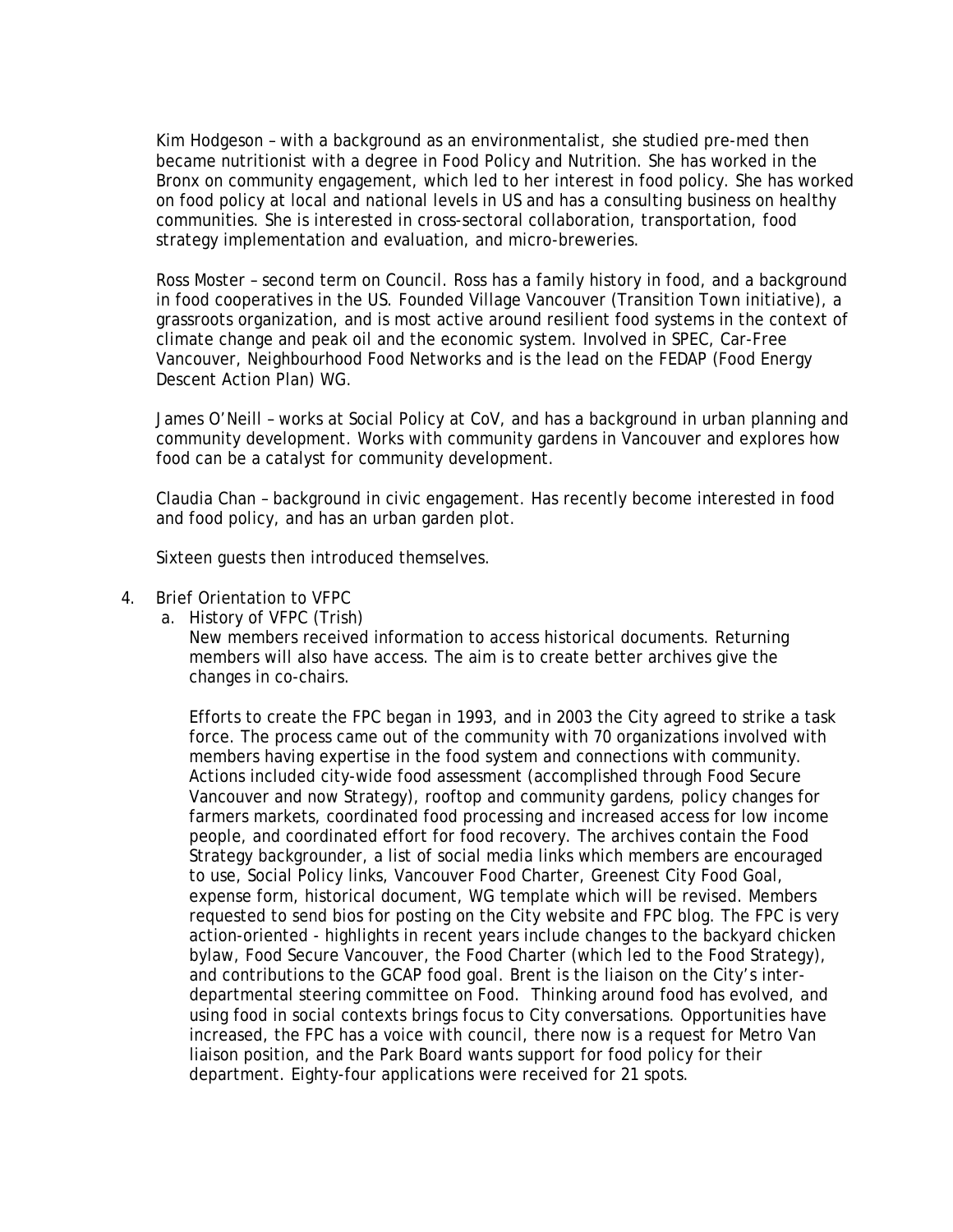Kim Hodgeson – with a background as an environmentalist, she studied pre-med then became nutritionist with a degree in Food Policy and Nutrition. She has worked in the Bronx on community engagement, which led to her interest in food policy. She has worked on food policy at local and national levels in US and has a consulting business on healthy communities. She is interested in cross-sectoral collaboration, transportation, food strategy implementation and evaluation, and micro-breweries.

Ross Moster – second term on Council. Ross has a family history in food, and a background in food cooperatives in the US. Founded Village Vancouver (Transition Town initiative), a grassroots organization, and is most active around resilient food systems in the context of climate change and peak oil and the economic system. Involved in SPEC, Car-Free Vancouver, Neighbourhood Food Networks and is the lead on the FEDAP (Food Energy Descent Action Plan) WG.

James O'Neill – works at Social Policy at CoV, and has a background in urban planning and community development. Works with community gardens in Vancouver and explores how food can be a catalyst for community development.

Claudia Chan – background in civic engagement. Has recently become interested in food and food policy, and has an urban garden plot.

Sixteen guests then introduced themselves.

- 4. Brief Orientation to VFPC
	- a. History of VFPC (Trish)

New members received information to access historical documents. Returning members will also have access. The aim is to create better archives give the changes in co-chairs.

Efforts to create the FPC began in 1993, and in 2003 the City agreed to strike a task force. The process came out of the community with 70 organizations involved with members having expertise in the food system and connections with community. Actions included city-wide food assessment (accomplished through Food Secure Vancouver and now Strategy), rooftop and community gardens, policy changes for farmers markets, coordinated food processing and increased access for low income people, and coordinated effort for food recovery. The archives contain the Food Strategy backgrounder, a list of social media links which members are encouraged to use, Social Policy links, Vancouver Food Charter, Greenest City Food Goal, expense form, historical document, WG template which will be revised. Members requested to send bios for posting on the City website and FPC blog. The FPC is very action-oriented - highlights in recent years include changes to the backyard chicken bylaw, Food Secure Vancouver, the Food Charter (which led to the Food Strategy), and contributions to the GCAP food goal. Brent is the liaison on the City's interdepartmental steering committee on Food. Thinking around food has evolved, and using food in social contexts brings focus to City conversations. Opportunities have increased, the FPC has a voice with council, there now is a request for Metro Van liaison position, and the Park Board wants support for food policy for their department. Eighty-four applications were received for 21 spots.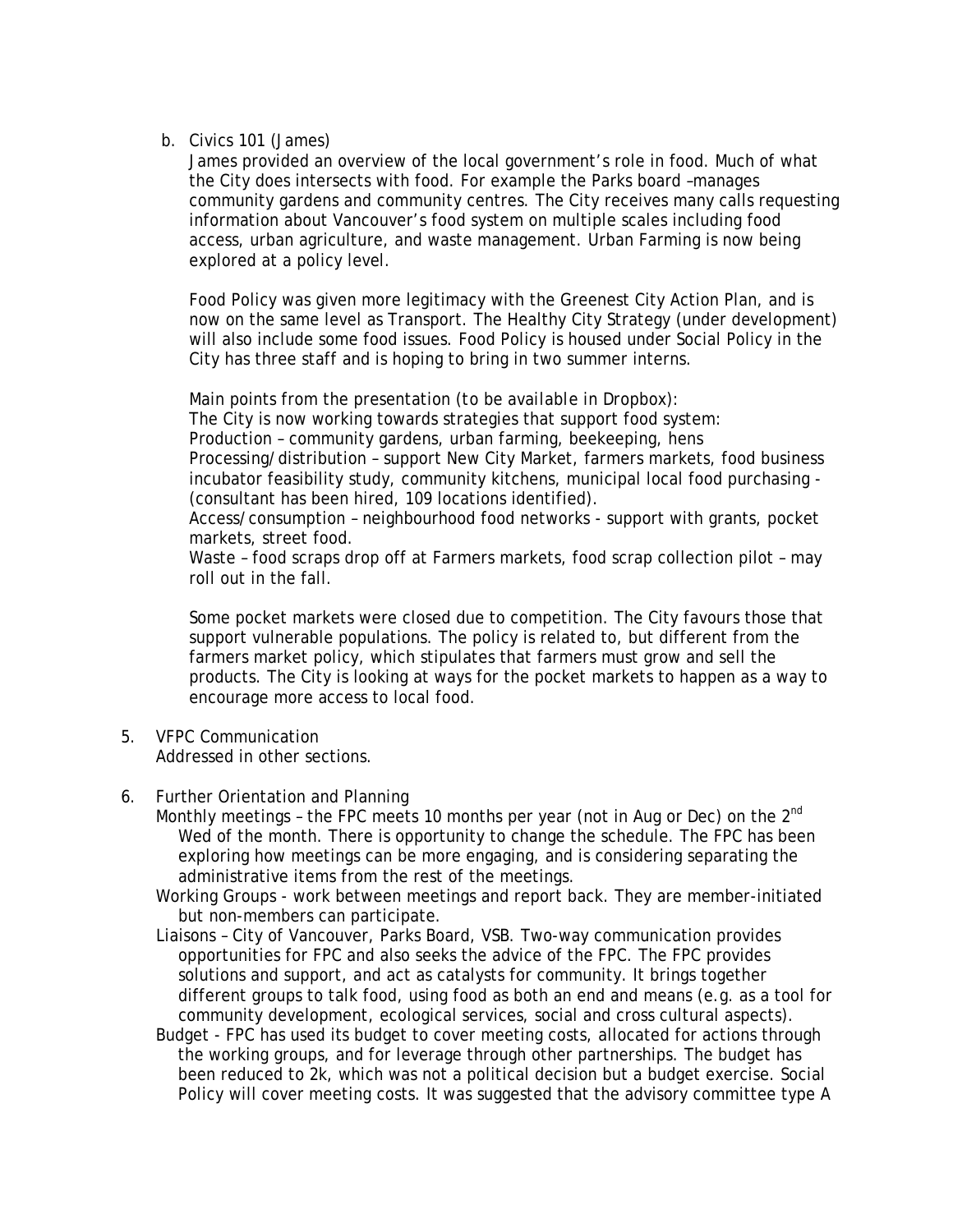b. Civics 101 (James)

James provided an overview of the local government's role in food. Much of what the City does intersects with food. For example the Parks board –manages community gardens and community centres. The City receives many calls requesting information about Vancouver's food system on multiple scales including food access, urban agriculture, and waste management. Urban Farming is now being explored at a policy level.

Food Policy was given more legitimacy with the Greenest City Action Plan, and is now on the same level as Transport. The Healthy City Strategy (under development) will also include some food issues. Food Policy is housed under Social Policy in the City has three staff and is hoping to bring in two summer interns.

Main points from the presentation *(to be available in Dropbox):* The City is now working towards strategies that support food system: Production – community gardens, urban farming, beekeeping, hens Processing/distribution – support New City Market, farmers markets, food business incubator feasibility study, community kitchens, municipal local food purchasing - (consultant has been hired, 109 locations identified).

Access/consumption – neighbourhood food networks - support with grants, pocket markets, street food.

Waste – food scraps drop off at Farmers markets, food scrap collection pilot – may roll out in the fall.

Some pocket markets were closed due to competition. The City favours those that support vulnerable populations. The policy is related to, but different from the farmers market policy, which stipulates that farmers must grow and sell the products. The City is looking at ways for the pocket markets to happen as a way to encourage more access to local food.

- 5. VFPC Communication Addressed in other sections.
- 6. Further Orientation and Planning
	- Monthly meetings the FPC meets 10 months per year (not in Aug or Dec) on the 2<sup>nd</sup> Wed of the month. There is opportunity to change the schedule. The FPC has been exploring how meetings can be more engaging, and is considering separating the administrative items from the rest of the meetings.

Working Groups - work between meetings and report back. They are member-initiated but non-members can participate.

- Liaisons City of Vancouver, Parks Board, VSB. Two-way communication provides opportunities for FPC and also seeks the advice of the FPC. The FPC provides solutions and support, and act as catalysts for community. It brings together different groups to talk food, using food as both an end and means (e.g. as a tool for community development, ecological services, social and cross cultural aspects).
- Budget FPC has used its budget to cover meeting costs, allocated for actions through the working groups, and for leverage through other partnerships. The budget has been reduced to 2k, which was not a political decision but a budget exercise. Social Policy will cover meeting costs. It was suggested that the advisory committee type A